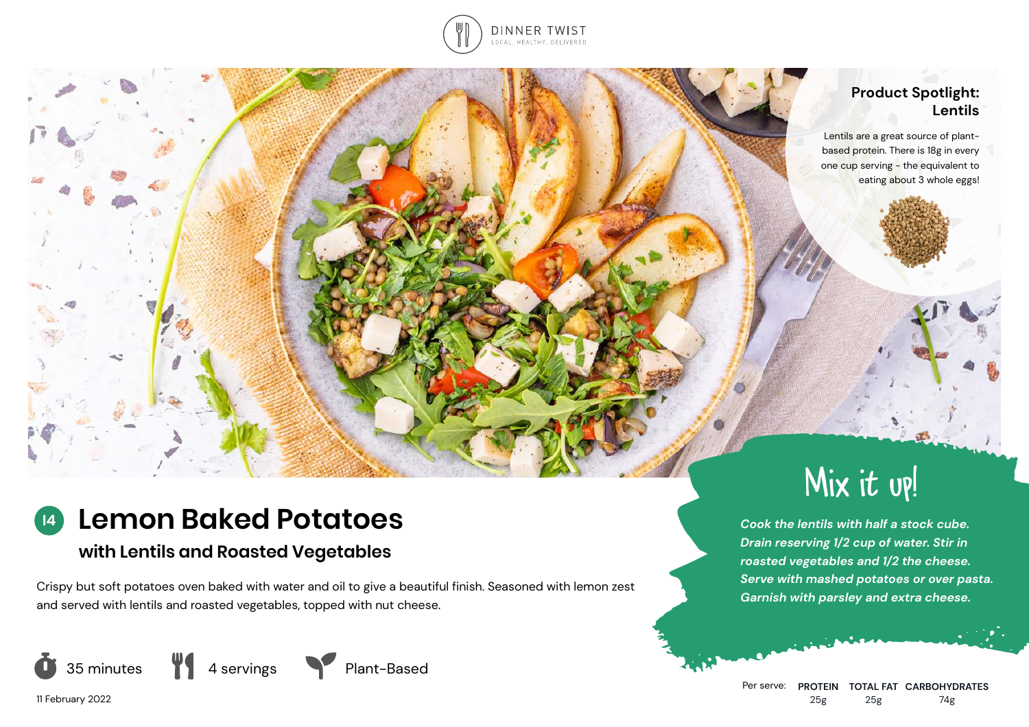

## **Product Spotlight: Lentils**

Lentils are a great source of plantbased protein. There is 18g in every one cup serving - the equivalent to eating about 3 whole eggs!

# **Lemon Baked Potatoes**

## **with Lentils and Roasted Vegetables**

Crispy but soft potatoes oven baked with water and oil to give a beautiful finish. Seasoned with lemon zest and served with lentils and roasted vegetables, topped with nut cheese.



11 February 2022

**I4**

Mix it up!

*Cook the lentils with half a stock cube. Drain reserving 1/2 cup of water. Stir in roasted vegetables and 1/2 the cheese. Serve with mashed potatoes or over pasta. Garnish with parsley and extra cheese.*